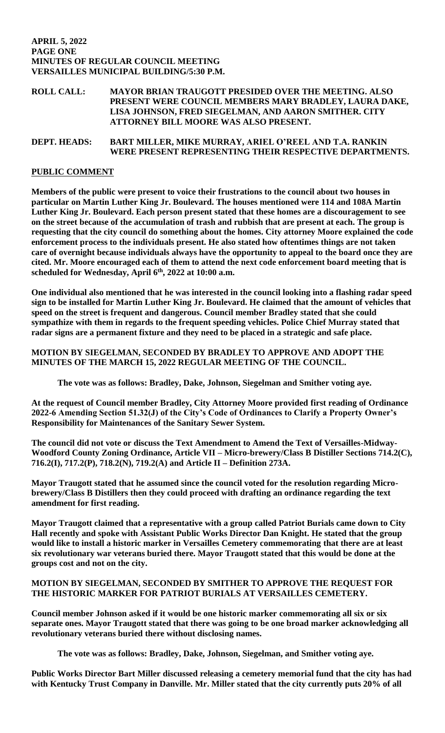### **APRIL 5, 2022 PAGE ONE MINUTES OF REGULAR COUNCIL MEETING VERSAILLES MUNICIPAL BUILDING/5:30 P.M.**

# **ROLL CALL: MAYOR BRIAN TRAUGOTT PRESIDED OVER THE MEETING. ALSO PRESENT WERE COUNCIL MEMBERS MARY BRADLEY, LAURA DAKE, LISA JOHNSON, FRED SIEGELMAN, AND AARON SMITHER. CITY ATTORNEY BILL MOORE WAS ALSO PRESENT.**

# **DEPT. HEADS: BART MILLER, MIKE MURRAY, ARIEL O'REEL AND T.A. RANKIN WERE PRESENT REPRESENTING THEIR RESPECTIVE DEPARTMENTS.**

# **PUBLIC COMMENT**

**Members of the public were present to voice their frustrations to the council about two houses in particular on Martin Luther King Jr. Boulevard. The houses mentioned were 114 and 108A Martin Luther King Jr. Boulevard. Each person present stated that these homes are a discouragement to see on the street because of the accumulation of trash and rubbish that are present at each. The group is requesting that the city council do something about the homes. City attorney Moore explained the code enforcement process to the individuals present. He also stated how oftentimes things are not taken care of overnight because individuals always have the opportunity to appeal to the board once they are cited. Mr. Moore encouraged each of them to attend the next code enforcement board meeting that is scheduled for Wednesday, April 6th, 2022 at 10:00 a.m.** 

**One individual also mentioned that he was interested in the council looking into a flashing radar speed sign to be installed for Martin Luther King Jr. Boulevard. He claimed that the amount of vehicles that speed on the street is frequent and dangerous. Council member Bradley stated that she could sympathize with them in regards to the frequent speeding vehicles. Police Chief Murray stated that radar signs are a permanent fixture and they need to be placed in a strategic and safe place.**

# **MOTION BY SIEGELMAN, SECONDED BY BRADLEY TO APPROVE AND ADOPT THE MINUTES OF THE MARCH 15, 2022 REGULAR MEETING OF THE COUNCIL.**

**The vote was as follows: Bradley, Dake, Johnson, Siegelman and Smither voting aye.**

**At the request of Council member Bradley, City Attorney Moore provided first reading of Ordinance 2022-6 Amending Section 51.32(J) of the City's Code of Ordinances to Clarify a Property Owner's Responsibility for Maintenances of the Sanitary Sewer System.**

**The council did not vote or discuss the Text Amendment to Amend the Text of Versailles-Midway-Woodford County Zoning Ordinance, Article VII – Micro-brewery/Class B Distiller Sections 714.2(C), 716.2(I), 717.2(P), 718.2(N), 719.2(A) and Article II – Definition 273A.** 

**Mayor Traugott stated that he assumed since the council voted for the resolution regarding Microbrewery/Class B Distillers then they could proceed with drafting an ordinance regarding the text amendment for first reading.** 

**Mayor Traugott claimed that a representative with a group called Patriot Burials came down to City Hall recently and spoke with Assistant Public Works Director Dan Knight. He stated that the group would like to install a historic marker in Versailles Cemetery commemorating that there are at least six revolutionary war veterans buried there. Mayor Traugott stated that this would be done at the groups cost and not on the city.** 

# **MOTION BY SIEGELMAN, SECONDED BY SMITHER TO APPROVE THE REQUEST FOR THE HISTORIC MARKER FOR PATRIOT BURIALS AT VERSAILLES CEMETERY.**

**Council member Johnson asked if it would be one historic marker commemorating all six or six separate ones. Mayor Traugott stated that there was going to be one broad marker acknowledging all revolutionary veterans buried there without disclosing names.** 

**The vote was as follows: Bradley, Dake, Johnson, Siegelman, and Smither voting aye.**

**Public Works Director Bart Miller discussed releasing a cemetery memorial fund that the city has had with Kentucky Trust Company in Danville. Mr. Miller stated that the city currently puts 20% of all**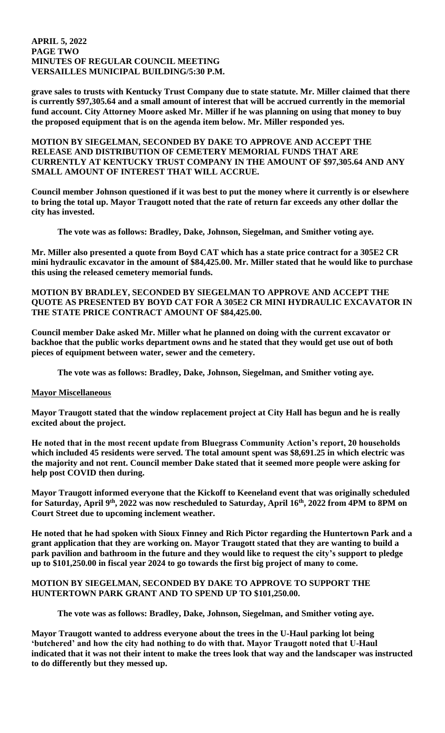### **APRIL 5, 2022 PAGE TWO MINUTES OF REGULAR COUNCIL MEETING VERSAILLES MUNICIPAL BUILDING/5:30 P.M.**

**grave sales to trusts with Kentucky Trust Company due to state statute. Mr. Miller claimed that there is currently \$97,305.64 and a small amount of interest that will be accrued currently in the memorial fund account. City Attorney Moore asked Mr. Miller if he was planning on using that money to buy the proposed equipment that is on the agenda item below. Mr. Miller responded yes.** 

**MOTION BY SIEGELMAN, SECONDED BY DAKE TO APPROVE AND ACCEPT THE RELEASE AND DISTRIBUTION OF CEMETERY MEMORIAL FUNDS THAT ARE CURRENTLY AT KENTUCKY TRUST COMPANY IN THE AMOUNT OF \$97,305.64 AND ANY SMALL AMOUNT OF INTEREST THAT WILL ACCRUE.**

**Council member Johnson questioned if it was best to put the money where it currently is or elsewhere to bring the total up. Mayor Traugott noted that the rate of return far exceeds any other dollar the city has invested.** 

**The vote was as follows: Bradley, Dake, Johnson, Siegelman, and Smither voting aye.**

**Mr. Miller also presented a quote from Boyd CAT which has a state price contract for a 305E2 CR mini hydraulic excavator in the amount of \$84,425.00. Mr. Miller stated that he would like to purchase this using the released cemetery memorial funds.** 

**MOTION BY BRADLEY, SECONDED BY SIEGELMAN TO APPROVE AND ACCEPT THE QUOTE AS PRESENTED BY BOYD CAT FOR A 305E2 CR MINI HYDRAULIC EXCAVATOR IN THE STATE PRICE CONTRACT AMOUNT OF \$84,425.00.**

**Council member Dake asked Mr. Miller what he planned on doing with the current excavator or backhoe that the public works department owns and he stated that they would get use out of both pieces of equipment between water, sewer and the cemetery.** 

**The vote was as follows: Bradley, Dake, Johnson, Siegelman, and Smither voting aye.**

# **Mayor Miscellaneous**

**Mayor Traugott stated that the window replacement project at City Hall has begun and he is really excited about the project.**

**He noted that in the most recent update from Bluegrass Community Action's report, 20 households which included 45 residents were served. The total amount spent was \$8,691.25 in which electric was the majority and not rent. Council member Dake stated that it seemed more people were asking for help post COVID then during.** 

**Mayor Traugott informed everyone that the Kickoff to Keeneland event that was originally scheduled for Saturday, April 9th, 2022 was now rescheduled to Saturday, April 16th, 2022 from 4PM to 8PM on Court Street due to upcoming inclement weather.** 

**He noted that he had spoken with Sioux Finney and Rich Pictor regarding the Huntertown Park and a grant application that they are working on. Mayor Traugott stated that they are wanting to build a park pavilion and bathroom in the future and they would like to request the city's support to pledge up to \$101,250.00 in fiscal year 2024 to go towards the first big project of many to come.** 

### **MOTION BY SIEGELMAN, SECONDED BY DAKE TO APPROVE TO SUPPORT THE HUNTERTOWN PARK GRANT AND TO SPEND UP TO \$101,250.00.**

**The vote was as follows: Bradley, Dake, Johnson, Siegelman, and Smither voting aye.**

**Mayor Traugott wanted to address everyone about the trees in the U-Haul parking lot being 'butchered' and how the city had nothing to do with that. Mayor Traugott noted that U-Haul indicated that it was not their intent to make the trees look that way and the landscaper was instructed to do differently but they messed up.**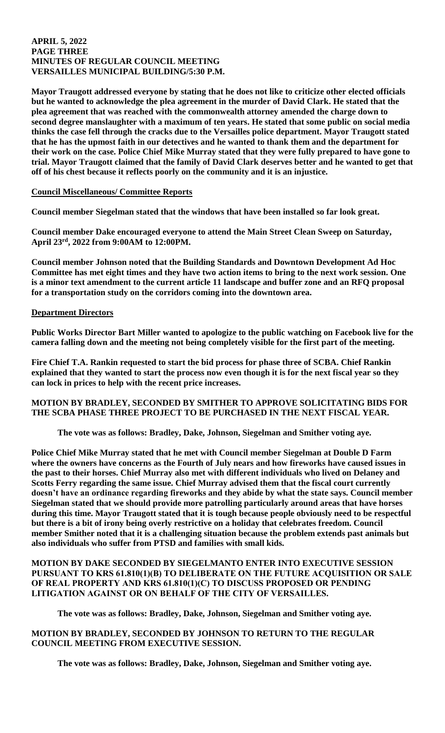#### **APRIL 5, 2022 PAGE THREE MINUTES OF REGULAR COUNCIL MEETING VERSAILLES MUNICIPAL BUILDING/5:30 P.M.**

**Mayor Traugott addressed everyone by stating that he does not like to criticize other elected officials but he wanted to acknowledge the plea agreement in the murder of David Clark. He stated that the plea agreement that was reached with the commonwealth attorney amended the charge down to second degree manslaughter with a maximum of ten years. He stated that some public on social media thinks the case fell through the cracks due to the Versailles police department. Mayor Traugott stated that he has the upmost faith in our detectives and he wanted to thank them and the department for their work on the case. Police Chief Mike Murray stated that they were fully prepared to have gone to trial. Mayor Traugott claimed that the family of David Clark deserves better and he wanted to get that off of his chest because it reflects poorly on the community and it is an injustice.** 

### **Council Miscellaneous/ Committee Reports**

**Council member Siegelman stated that the windows that have been installed so far look great.**

**Council member Dake encouraged everyone to attend the Main Street Clean Sweep on Saturday, April 23rd, 2022 from 9:00AM to 12:00PM.** 

**Council member Johnson noted that the Building Standards and Downtown Development Ad Hoc Committee has met eight times and they have two action items to bring to the next work session. One is a minor text amendment to the current article 11 landscape and buffer zone and an RFQ proposal for a transportation study on the corridors coming into the downtown area.** 

# **Department Directors**

**Public Works Director Bart Miller wanted to apologize to the public watching on Facebook live for the camera falling down and the meeting not being completely visible for the first part of the meeting.**

**Fire Chief T.A. Rankin requested to start the bid process for phase three of SCBA. Chief Rankin explained that they wanted to start the process now even though it is for the next fiscal year so they can lock in prices to help with the recent price increases.** 

### **MOTION BY BRADLEY, SECONDED BY SMITHER TO APPROVE SOLICITATING BIDS FOR THE SCBA PHASE THREE PROJECT TO BE PURCHASED IN THE NEXT FISCAL YEAR.**

**The vote was as follows: Bradley, Dake, Johnson, Siegelman and Smither voting aye.** 

**Police Chief Mike Murray stated that he met with Council member Siegelman at Double D Farm where the owners have concerns as the Fourth of July nears and how fireworks have caused issues in the past to their horses. Chief Murray also met with different individuals who lived on Delaney and Scotts Ferry regarding the same issue. Chief Murray advised them that the fiscal court currently doesn't have an ordinance regarding fireworks and they abide by what the state says. Council member Siegelman stated that we should provide more patrolling particularly around areas that have horses during this time. Mayor Traugott stated that it is tough because people obviously need to be respectful but there is a bit of irony being overly restrictive on a holiday that celebrates freedom. Council member Smither noted that it is a challenging situation because the problem extends past animals but also individuals who suffer from PTSD and families with small kids.** 

# **MOTION BY DAKE SECONDED BY SIEGELMANTO ENTER INTO EXECUTIVE SESSION PURSUANT TO KRS 61.810(1)(B) TO DELIBERATE ON THE FUTURE ACQUISITION OR SALE OF REAL PROPERTY AND KRS 61.810(1)(C) TO DISCUSS PROPOSED OR PENDING LITIGATION AGAINST OR ON BEHALF OF THE CITY OF VERSAILLES.**

**The vote was as follows: Bradley, Dake, Johnson, Siegelman and Smither voting aye.** 

# **MOTION BY BRADLEY, SECONDED BY JOHNSON TO RETURN TO THE REGULAR COUNCIL MEETING FROM EXECUTIVE SESSION.**

**The vote was as follows: Bradley, Dake, Johnson, Siegelman and Smither voting aye.**